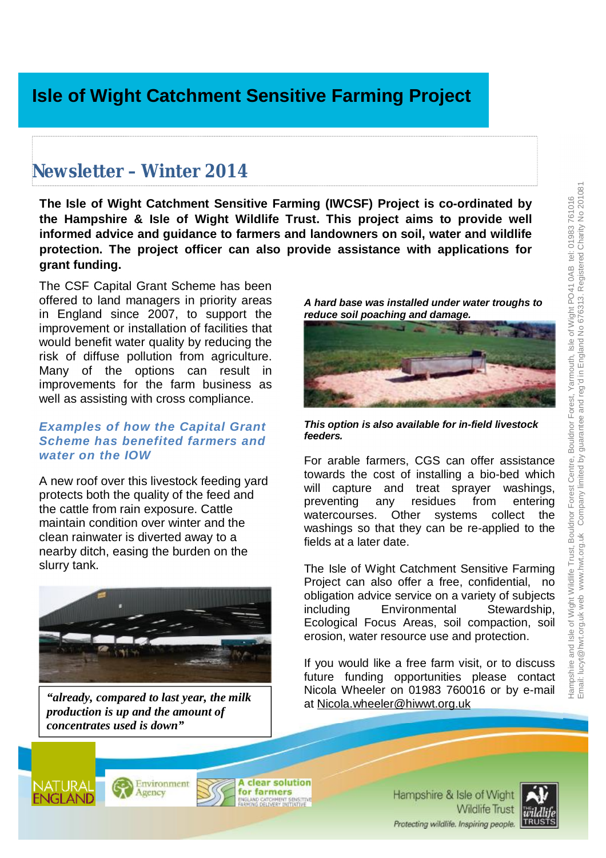# **Newsletter – Winter 2014**

**The Isle of Wight Catchment Sensitive Farming (IWCSF) Project is co-ordinated by the Hampshire & Isle of Wight Wildlife Trust. This project aims to provide well informed advice and guidance to farmers and landowners on soil, water and wildlife protection. The project officer can also provide assistance with applications for grant funding.**

The CSF Capital Grant Scheme has been offered to land managers in priority areas in England since 2007, to support the improvement or installation of facilities that would benefit water quality by reducing the risk of diffuse pollution from agriculture. Many of the options can result in improvements for the farm business as well as assisting with cross compliance.

#### *Examples of how the Capital Grant Scheme has benefited farmers and water on the IOW*

A new roof over this livestock feeding yard protects both the quality of the feed and the cattle from rain exposure. Cattle maintain condition over winter and the clean rainwater is diverted away to a nearby ditch, easing the burden on the slurry tank.



*"already, compared to last year, the milk production is up and the amount of concentrates used is down"* 





*This option is also available for in-field livestock feeders.* 

For arable farmers, CGS can offer assistance towards the cost of installing a bio-bed which will capture and treat sprayer washings, preventing any residues from entering watercourses. Other systems collect the washings so that they can be re-applied to the fields at a later date.

The Isle of Wight Catchment Sensitive Farming Project can also offer a free, confidential, no obligation advice service on a variety of subjects including Environmental Stewardship, Ecological Focus Areas, soil compaction, soil erosion, water resource use and protection.

If you would like a free farm visit, or to discuss future funding opportunities please contact Nicola Wheeler on 01983 760016 or by e-mail at [Nicola.wheeler@hiwwt.org.uk](mailto:Nicola.wheeler@hiwwt.org.uk)







Hampshire & Isle of Wight **Wildlife Trust** Protecting wildlife. Inspiring people.

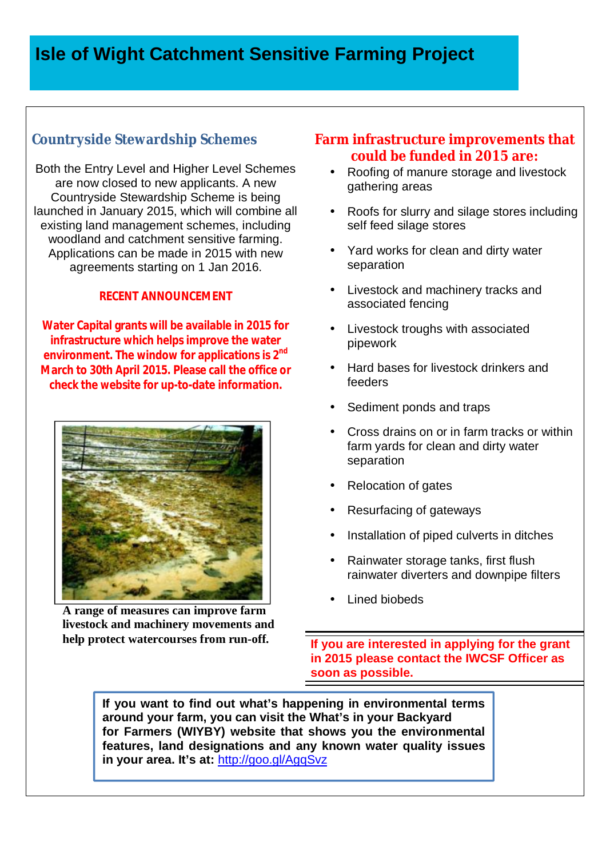## **Countryside Stewardship Schemes**

Both the Entry Level and Higher Level Schemes are now closed to new applicants. A new Countryside Stewardship Scheme is being launched in January 2015, which will combine all existing land management schemes, including woodland and catchment sensitive farming. Applications can be made in 2015 with new agreements starting on 1 Jan 2016.

#### **RECENT ANNOUNCEMENT**

**Water Capital grants will be available in 2015 for infrastructure which helps improve the water environment. The window for applications is 2nd March to 30th April 2015. Please call the office or check the website for up-to-date information.** 



**A range of measures can improve farm livestock and machinery movements and help protect watercourses from run-off.** 

#### **Farm infrastructure improvements that could be funded in 2015 are:**

- Roofing of manure storage and livestock gathering areas
- Roofs for slurry and silage stores including self feed silage stores
- Yard works for clean and dirty water separation
- Livestock and machinery tracks and associated fencing
- Livestock troughs with associated pipework
- Hard bases for livestock drinkers and feeders
- Sediment ponds and traps
- Cross drains on or in farm tracks or within farm yards for clean and dirty water separation
- Relocation of gates
- Resurfacing of gateways
- Installation of piped culverts in ditches
- Rainwater storage tanks, first flush rainwater diverters and downpipe filters
- Lined biobeds

**If you are interested in applying for the grant in 2015 please contact the IWCSF Officer as soon as possible.**

**If you want to find out what's happening in environmental terms around your farm, you can visit the What's in your Backyard for Farmers (WIYBY) website that shows you the environmental features, land designations and any known water quality issues in your area. It's at:** <http://goo.gl/AgqSvz>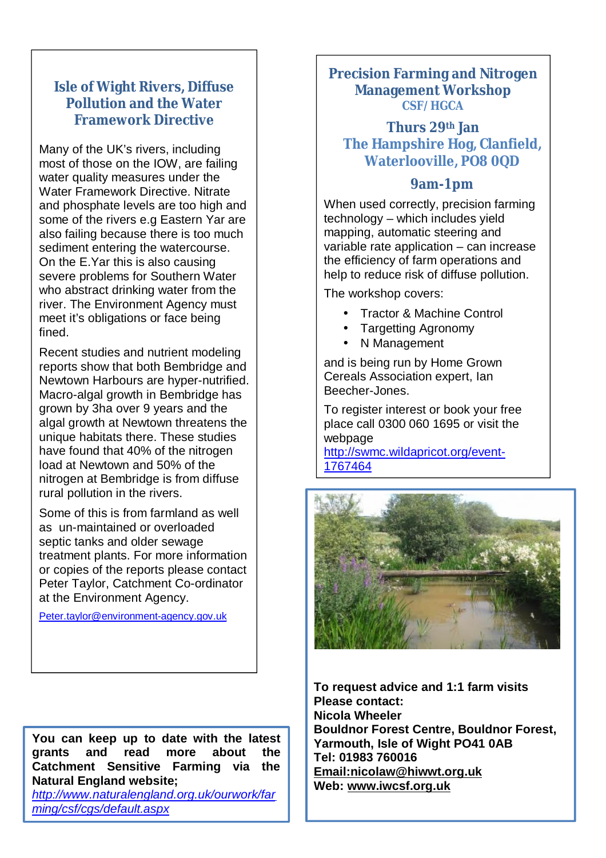#### **Isle of Wight Rivers, Diffuse Pollution and the Water Framework Directive**

Many of the UK's rivers, including most of those on the IOW, are failing water quality measures under the Water Framework Directive. Nitrate and phosphate levels are too high and some of the rivers e.g Eastern Yar are also failing because there is too much sediment entering the watercourse. On the E.Yar this is also causing severe problems for Southern Water who abstract drinking water from the river. The Environment Agency must meet it's obligations or face being fined.

Recent studies and nutrient modeling reports show that both Bembridge and Newtown Harbours are hyper-nutrified. Macro-algal growth in Bembridge has grown by 3ha over 9 years and the algal growth at Newtown threatens the unique habitats there. These studies have found that 40% of the nitrogen load at Newtown and 50% of the nitrogen at Bembridge is from diffuse rural pollution in the rivers.

Some of this is from farmland as well as un-maintained or overloaded septic tanks and older sewage treatment plants. For more information or copies of the reports please contact Peter Taylor, Catchment Co-ordinator at the Environment Agency.

[Peter.taylor@environment-agency.gov.uk](mailto:Peter.taylor@environment-agency.gov.uk)

**You can keep up to date with the latest grants and read more about the Catchment Sensitive Farming via the Natural England website;** 

*<http://www.naturalengland.org.uk/ourwork/far> ming/csf/cgs/default.aspx*

#### **Precision Farming and Nitrogen Management Workshop** *CSF/HGCA*

#### **Thurs 29th Jan The Hampshire Hog, Clanfield, Waterlooville, PO8 0QD**

### **9am-1pm**

When used correctly, precision farming technology – which includes yield mapping, automatic steering and variable rate application – can increase the efficiency of farm operations and help to reduce risk of diffuse pollution.

The workshop covers:

- Tractor & Machine Control
- Targetting Agronomy
- N Management

and is being run by Home Grown Cereals Association expert, Ian Beecher-Jones.

To register interest or book your free place call 0300 060 1695 or visit the webpage

<http://swmc.wildapricot.org/event>-1767464



 **Web: [www.iwcsf.org.uk](http://www.iwcsf.org.uk)To request advice and 1:1 farm visits Please contact: Nicola Wheeler Bouldnor Forest Centre, Bouldnor Forest, Yarmouth, Isle of Wight PO41 0AB Tel: 01983 760016 [Email:nicolaw@hiwwt.org.uk](mailto:Email:nicolaw@hiwwt.org.uk)**